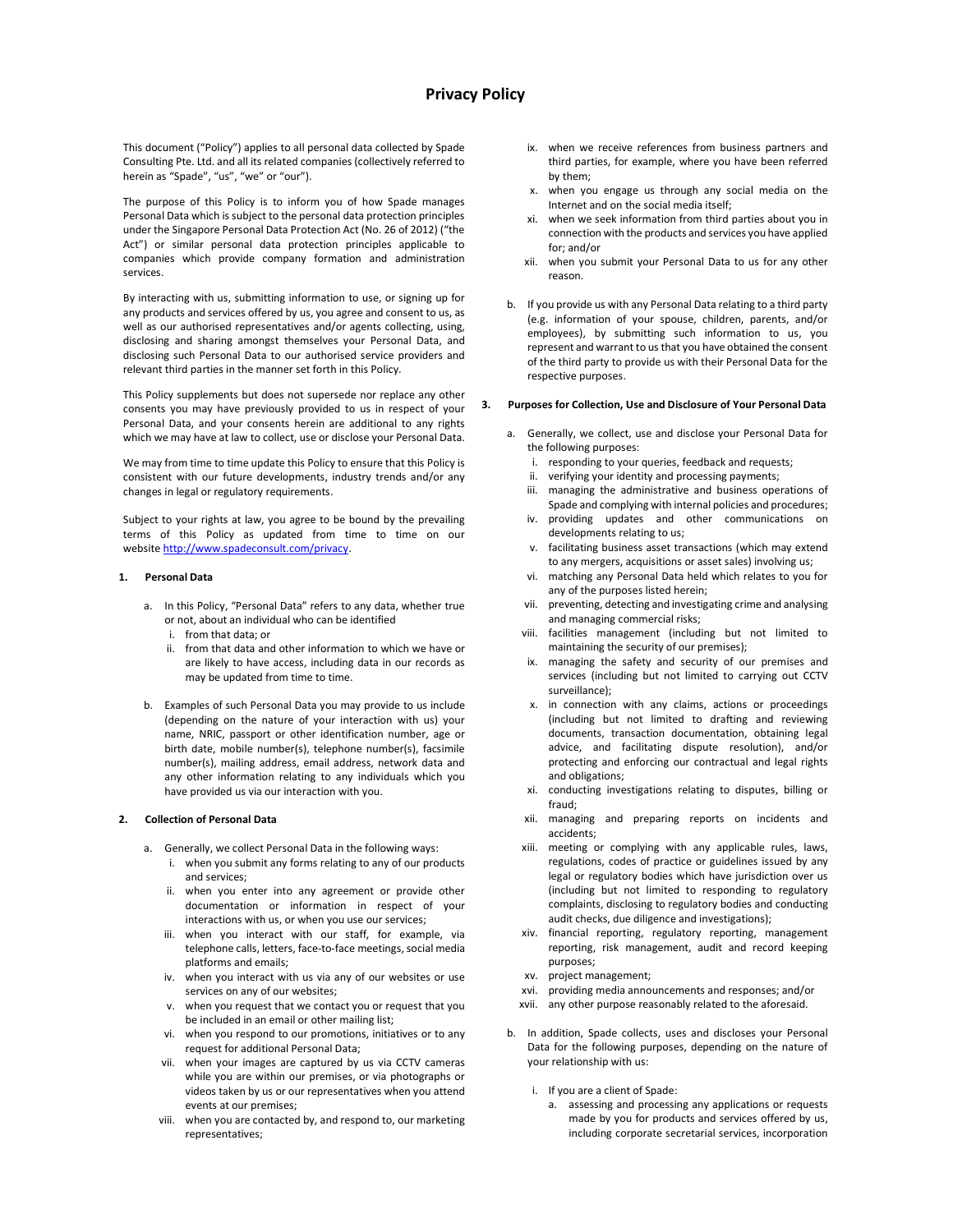# Privacy Policy

This document ("Policy") applies to all personal data collected by Spade Consulting Pte. Ltd. and all its related companies (collectively referred to herein as "Spade", "us", "we" or "our").

The purpose of this Policy is to inform you of how Spade manages Personal Data which is subject to the personal data protection principles under the Singapore Personal Data Protection Act (No. 26 of 2012) ("the Act") or similar personal data protection principles applicable to companies which provide company formation and administration services.

By interacting with us, submitting information to use, or signing up for any products and services offered by us, you agree and consent to us, as well as our authorised representatives and/or agents collecting, using, disclosing and sharing amongst themselves your Personal Data, and disclosing such Personal Data to our authorised service providers and relevant third parties in the manner set forth in this Policy.

This Policy supplements but does not supersede nor replace any other consents you may have previously provided to us in respect of your Personal Data, and your consents herein are additional to any rights which we may have at law to collect, use or disclose your Personal Data.

We may from time to time update this Policy to ensure that this Policy is consistent with our future developments, industry trends and/or any changes in legal or regulatory requirements.

Subject to your rights at law, you agree to be bound by the prevailing terms of this Policy as updated from time to time on our website http://www.spadeconsult.com/privacy.

#### 1. Personal Data

- a. In this Policy, "Personal Data" refers to any data, whether true or not, about an individual who can be identified
	- i. from that data; or
	- ii. from that data and other information to which we have or are likely to have access, including data in our records as may be updated from time to time.
- b. Examples of such Personal Data you may provide to us include (depending on the nature of your interaction with us) your name, NRIC, passport or other identification number, age or birth date, mobile number(s), telephone number(s), facsimile number(s), mailing address, email address, network data and any other information relating to any individuals which you have provided us via our interaction with you.

### 2. Collection of Personal Data

- a. Generally, we collect Personal Data in the following ways:
	- i. when you submit any forms relating to any of our products and services;
	- ii. when you enter into any agreement or provide other documentation or information in respect of your interactions with us, or when you use our services;
	- iii. when you interact with our staff, for example, via telephone calls, letters, face-to-face meetings, social media platforms and emails;
	- iv. when you interact with us via any of our websites or use services on any of our websites;
	- v. when you request that we contact you or request that you be included in an email or other mailing list;
	- vi. when you respond to our promotions, initiatives or to any request for additional Personal Data;
	- vii. when your images are captured by us via CCTV cameras while you are within our premises, or via photographs or videos taken by us or our representatives when you attend events at our premises;
	- viii. when you are contacted by, and respond to, our marketing representatives;
- ix. when we receive references from business partners and third parties, for example, where you have been referred by them;
- x. when you engage us through any social media on the Internet and on the social media itself;
- xi. when we seek information from third parties about you in connection with the products and services you have applied for; and/or
- xii. when you submit your Personal Data to us for any other reason.
- b. If you provide us with any Personal Data relating to a third party (e.g. information of your spouse, children, parents, and/or employees), by submitting such information to us, you represent and warrant to us that you have obtained the consent of the third party to provide us with their Personal Data for the respective purposes.

#### 3. Purposes for Collection, Use and Disclosure of Your Personal Data

- a. Generally, we collect, use and disclose your Personal Data for the following purposes:
	- i. responding to your queries, feedback and requests;
	- ii. verifying your identity and processing payments;
	- iii. managing the administrative and business operations of Spade and complying with internal policies and procedures;
	- iv. providing updates and other communications on developments relating to us;
	- v. facilitating business asset transactions (which may extend to any mergers, acquisitions or asset sales) involving us;
	- vi. matching any Personal Data held which relates to you for any of the purposes listed herein;
	- vii. preventing, detecting and investigating crime and analysing and managing commercial risks;
	- viii. facilities management (including but not limited to maintaining the security of our premises);
	- ix. managing the safety and security of our premises and services (including but not limited to carrying out CCTV surveillance);
	- x. in connection with any claims, actions or proceedings (including but not limited to drafting and reviewing documents, transaction documentation, obtaining legal advice, and facilitating dispute resolution), and/or protecting and enforcing our contractual and legal rights and obligations;
	- xi. conducting investigations relating to disputes, billing or fraud;
	- xii. managing and preparing reports on incidents and accidents;
	- xiii. meeting or complying with any applicable rules, laws, regulations, codes of practice or guidelines issued by any legal or regulatory bodies which have jurisdiction over us (including but not limited to responding to regulatory complaints, disclosing to regulatory bodies and conducting audit checks, due diligence and investigations);
	- xiv. financial reporting, regulatory reporting, management reporting, risk management, audit and record keeping purposes;
	- xv. project management;
	- xvi. providing media announcements and responses; and/or
	- xvii. any other purpose reasonably related to the aforesaid.
- b. In addition, Spade collects, uses and discloses your Personal Data for the following purposes, depending on the nature of your relationship with us:
	- i. If you are a client of Spade:
		- a. assessing and processing any applications or requests made by you for products and services offered by us, including corporate secretarial services, incorporation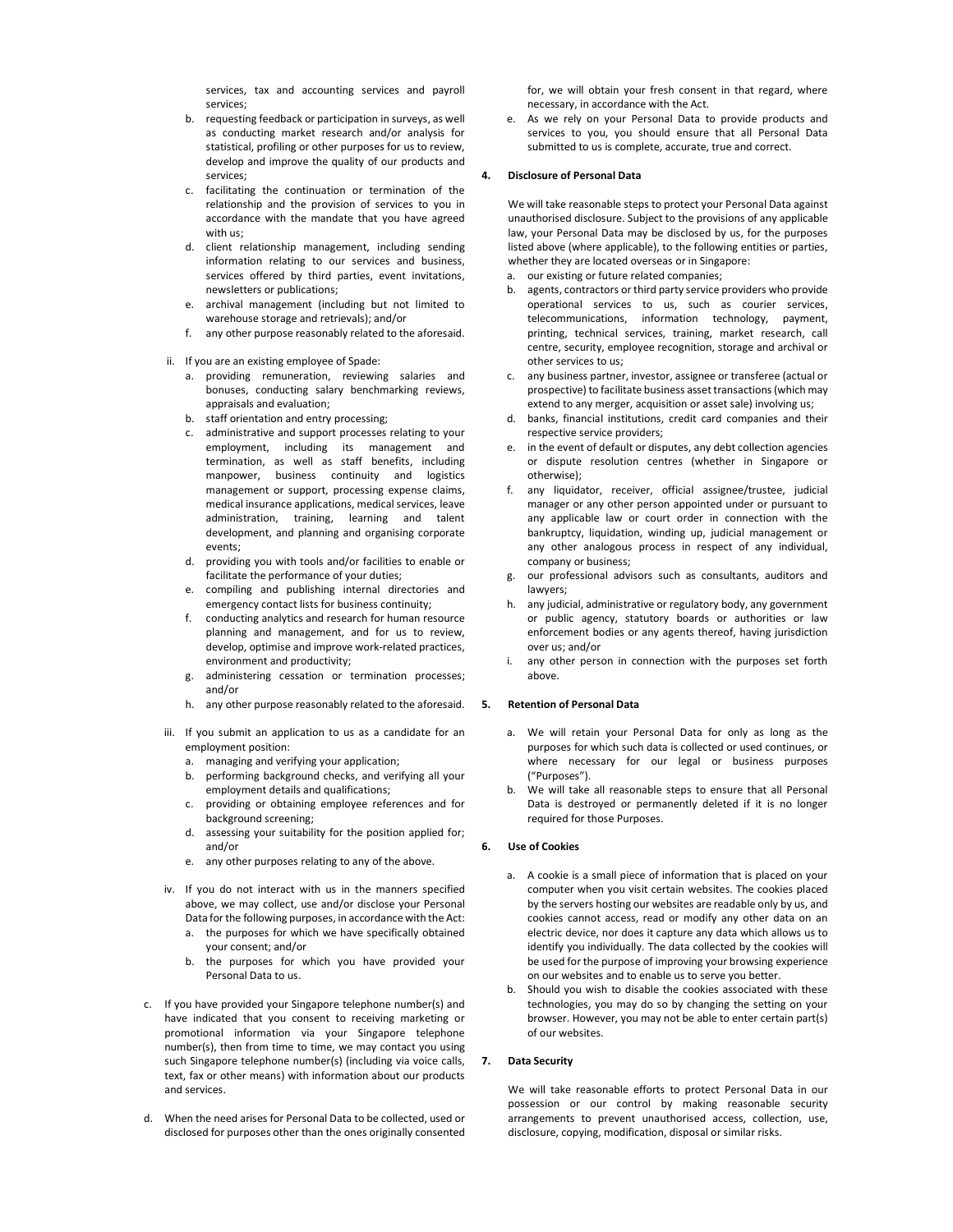services, tax and accounting services and payroll services;

- b. requesting feedback or participation in surveys, as well as conducting market research and/or analysis for statistical, profiling or other purposes for us to review, develop and improve the quality of our products and services;
- c. facilitating the continuation or termination of the relationship and the provision of services to you in accordance with the mandate that you have agreed with us;
- d. client relationship management, including sending information relating to our services and business, services offered by third parties, event invitations, newsletters or publications;
- e. archival management (including but not limited to warehouse storage and retrievals); and/or
- f. any other purpose reasonably related to the aforesaid.
- ii. If you are an existing employee of Spade:
	- a. providing remuneration, reviewing salaries and bonuses, conducting salary benchmarking reviews, appraisals and evaluation;
	- b. staff orientation and entry processing;
	- c. administrative and support processes relating to your employment, including its management and termination, as well as staff benefits, including manpower, business continuity and logistics management or support, processing expense claims, medical insurance applications, medical services, leave administration, training, learning and talent development, and planning and organising corporate events;
	- d. providing you with tools and/or facilities to enable or facilitate the performance of your duties;
	- e. compiling and publishing internal directories and emergency contact lists for business continuity;
	- f. conducting analytics and research for human resource planning and management, and for us to review, develop, optimise and improve work-related practices, environment and productivity;
	- g. administering cessation or termination processes; and/or
	- h. any other purpose reasonably related to the aforesaid.
- iii. If you submit an application to us as a candidate for an employment position:
	- a. managing and verifying your application;
	- b. performing background checks, and verifying all your employment details and qualifications;
	- c. providing or obtaining employee references and for background screening;
	- d. assessing your suitability for the position applied for; and/or
	- e. any other purposes relating to any of the above.
- iv. If you do not interact with us in the manners specified above, we may collect, use and/or disclose your Personal Data for the following purposes, in accordance with the Act:
	- a. the purposes for which we have specifically obtained your consent; and/or
	- b. the purposes for which you have provided your Personal Data to us.
- c. If you have provided your Singapore telephone number(s) and have indicated that you consent to receiving marketing or promotional information via your Singapore telephone number(s), then from time to time, we may contact you using such Singapore telephone number(s) (including via voice calls, text, fax or other means) with information about our products and services.
- d. When the need arises for Personal Data to be collected, used or disclosed for purposes other than the ones originally consented

for, we will obtain your fresh consent in that regard, where necessary, in accordance with the Act.

As we rely on your Personal Data to provide products and services to you, you should ensure that all Personal Data submitted to us is complete, accurate, true and correct.

### 4. Disclosure of Personal Data

We will take reasonable steps to protect your Personal Data against unauthorised disclosure. Subject to the provisions of any applicable law, your Personal Data may be disclosed by us, for the purposes listed above (where applicable), to the following entities or parties, whether they are located overseas or in Singapore:

- a. our existing or future related companies;
- agents, contractors or third party service providers who provide operational services to us, such as courier services, telecommunications, information technology, payment, printing, technical services, training, market research, call centre, security, employee recognition, storage and archival or other services to us;
- c. any business partner, investor, assignee or transferee (actual or prospective) to facilitate business asset transactions (which may extend to any merger, acquisition or asset sale) involving us;
- banks, financial institutions, credit card companies and their respective service providers;
- e. in the event of default or disputes, any debt collection agencies or dispute resolution centres (whether in Singapore or otherwise);
- f. any liquidator, receiver, official assignee/trustee, judicial manager or any other person appointed under or pursuant to any applicable law or court order in connection with the bankruptcy, liquidation, winding up, judicial management or any other analogous process in respect of any individual, company or business;
- g. our professional advisors such as consultants, auditors and lawyers;
- h. any judicial, administrative or regulatory body, any government or public agency, statutory boards or authorities or law enforcement bodies or any agents thereof, having jurisdiction over us; and/or
- any other person in connection with the purposes set forth above.

## 5. Retention of Personal Data

- a. We will retain your Personal Data for only as long as the purposes for which such data is collected or used continues, or where necessary for our legal or business purposes ("Purposes").
- b. We will take all reasonable steps to ensure that all Personal Data is destroyed or permanently deleted if it is no longer required for those Purposes.

# 6. Use of Cookies

- a. A cookie is a small piece of information that is placed on your computer when you visit certain websites. The cookies placed by the servers hosting our websites are readable only by us, and cookies cannot access, read or modify any other data on an electric device, nor does it capture any data which allows us to identify you individually. The data collected by the cookies will be used for the purpose of improving your browsing experience on our websites and to enable us to serve you better.
- b. Should you wish to disable the cookies associated with these technologies, you may do so by changing the setting on your browser. However, you may not be able to enter certain part(s) of our websites.

### 7. Data Security

We will take reasonable efforts to protect Personal Data in our possession or our control by making reasonable security arrangements to prevent unauthorised access, collection, use, disclosure, copying, modification, disposal or similar risks.